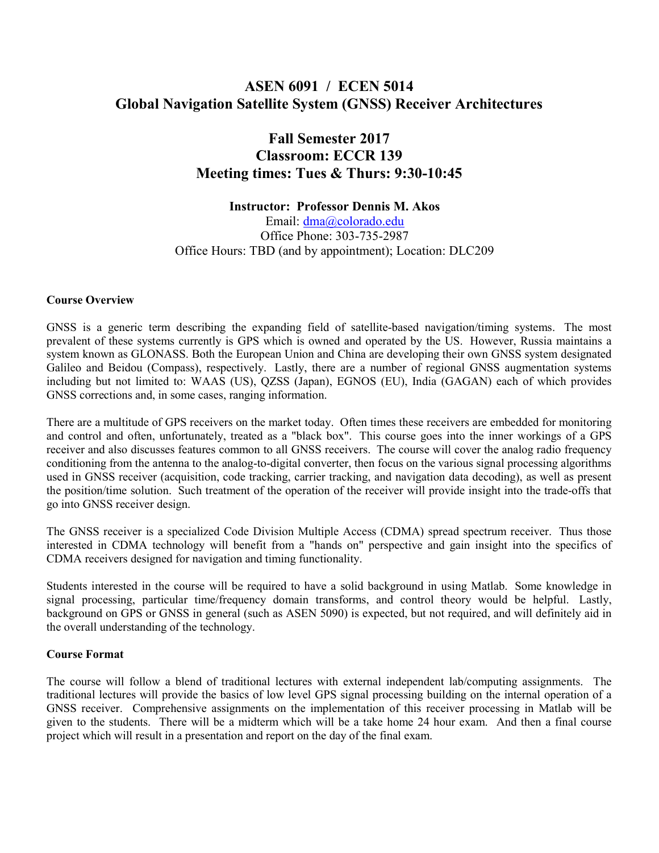# ASEN 6091 / ECEN 5014 Global Navigation Satellite System (GNSS) Receiver Architectures

# Fall Semester 2017 Classroom: ECCR 139 Meeting times: Tues & Thurs: 9:30-10:45

Instructor: Professor Dennis M. Akos

Email: dma@colorado.edu Office Phone: 303-735-2987 Office Hours: TBD (and by appointment); Location: DLC209

#### Course Overview

GNSS is a generic term describing the expanding field of satellite-based navigation/timing systems. The most prevalent of these systems currently is GPS which is owned and operated by the US. However, Russia maintains a system known as GLONASS. Both the European Union and China are developing their own GNSS system designated Galileo and Beidou (Compass), respectively. Lastly, there are a number of regional GNSS augmentation systems including but not limited to: WAAS (US), QZSS (Japan), EGNOS (EU), India (GAGAN) each of which provides GNSS corrections and, in some cases, ranging information.

There are a multitude of GPS receivers on the market today. Often times these receivers are embedded for monitoring and control and often, unfortunately, treated as a "black box". This course goes into the inner workings of a GPS receiver and also discusses features common to all GNSS receivers. The course will cover the analog radio frequency conditioning from the antenna to the analog-to-digital converter, then focus on the various signal processing algorithms used in GNSS receiver (acquisition, code tracking, carrier tracking, and navigation data decoding), as well as present the position/time solution. Such treatment of the operation of the receiver will provide insight into the trade-offs that go into GNSS receiver design.

The GNSS receiver is a specialized Code Division Multiple Access (CDMA) spread spectrum receiver. Thus those interested in CDMA technology will benefit from a "hands on" perspective and gain insight into the specifics of CDMA receivers designed for navigation and timing functionality.

Students interested in the course will be required to have a solid background in using Matlab. Some knowledge in signal processing, particular time/frequency domain transforms, and control theory would be helpful. Lastly, background on GPS or GNSS in general (such as ASEN 5090) is expected, but not required, and will definitely aid in the overall understanding of the technology.

#### Course Format

The course will follow a blend of traditional lectures with external independent lab/computing assignments. The traditional lectures will provide the basics of low level GPS signal processing building on the internal operation of a GNSS receiver. Comprehensive assignments on the implementation of this receiver processing in Matlab will be given to the students. There will be a midterm which will be a take home 24 hour exam. And then a final course project which will result in a presentation and report on the day of the final exam.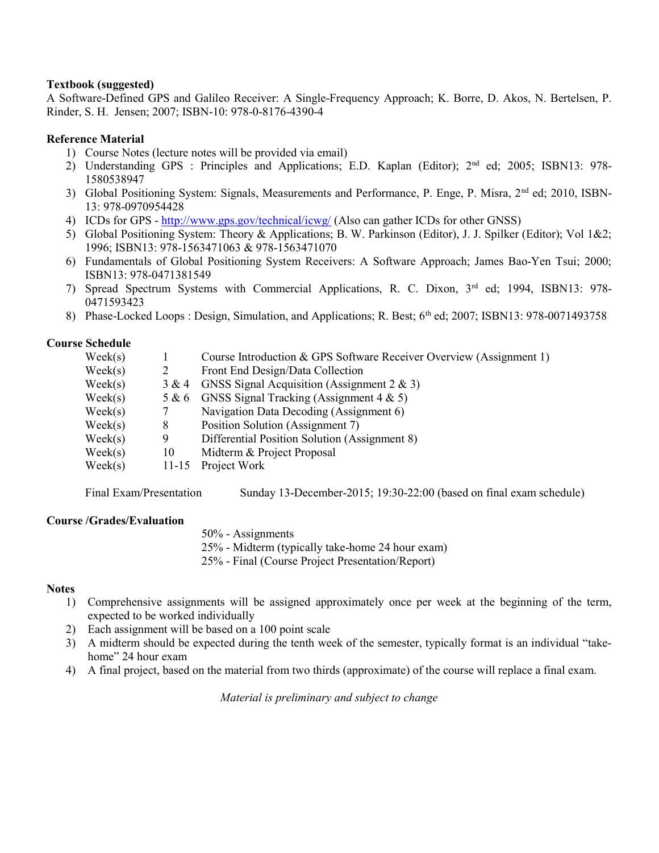#### Textbook (suggested)

A Software-Defined GPS and Galileo Receiver: A Single-Frequency Approach; K. Borre, D. Akos, N. Bertelsen, P. Rinder, S. H. Jensen; 2007; ISBN-10: 978-0-8176-4390-4

### Reference Material

- 1) Course Notes (lecture notes will be provided via email)
- 2) Understanding GPS : Principles and Applications; E.D. Kaplan (Editor); 2<sup>nd</sup> ed; 2005; ISBN13: 978-1580538947
- 3) Global Positioning System: Signals, Measurements and Performance, P. Enge, P. Misra, 2nd ed; 2010, ISBN-13: 978-0970954428
- 4) ICDs for GPS http://www.gps.gov/technical/icwg/ (Also can gather ICDs for other GNSS)
- 5) Global Positioning System: Theory & Applications; B. W. Parkinson (Editor), J. J. Spilker (Editor); Vol 1&2; 1996; ISBN13: 978-1563471063 & 978-1563471070
- 6) Fundamentals of Global Positioning System Receivers: A Software Approach; James Bao-Yen Tsui; 2000; ISBN13: 978-0471381549
- 7) Spread Spectrum Systems with Commercial Applications, R. C. Dixon, 3rd ed; 1994, ISBN13: 978- 0471593423
- 8) Phase-Locked Loops : Design, Simulation, and Applications; R. Best; 6<sup>th</sup> ed; 2007; ISBN13: 978-0071493758

## Course Schedule

| $\text{Week}(s)$ |           | Course Introduction & GPS Software Receiver Overview (Assignment 1) |
|------------------|-----------|---------------------------------------------------------------------|
| $\text{Week}(s)$ |           | Front End Design/Data Collection                                    |
| $\text{Week}(s)$ | 3 & 4     | GNSS Signal Acquisition (Assignment $2 \& 3$ )                      |
| $\text{Week}(s)$ | 5 & 6     | GNSS Signal Tracking (Assignment $4 \& 5$ )                         |
| $\text{Week}(s)$ |           | Navigation Data Decoding (Assignment 6)                             |
| $\text{Week}(s)$ | 8         | Position Solution (Assignment 7)                                    |
| $\text{Week}(s)$ | 9         | Differential Position Solution (Assignment 8)                       |
| $\text{Week}(s)$ | 10        | Midterm & Project Proposal                                          |
| $\text{Week}(s)$ | $11 - 15$ | Project Work                                                        |
|                  |           |                                                                     |

Final Exam/Presentation Sunday 13-December-2015; 19:30-22:00 (based on final exam schedule)

#### Course /Grades/Evaluation

50% - Assignments

25% - Midterm (typically take-home 24 hour exam)

25% - Final (Course Project Presentation/Report)

#### **Notes**

- 1) Comprehensive assignments will be assigned approximately once per week at the beginning of the term, expected to be worked individually
- 2) Each assignment will be based on a 100 point scale
- 3) A midterm should be expected during the tenth week of the semester, typically format is an individual "takehome" 24 hour exam
- 4) A final project, based on the material from two thirds (approximate) of the course will replace a final exam.

Material is preliminary and subject to change